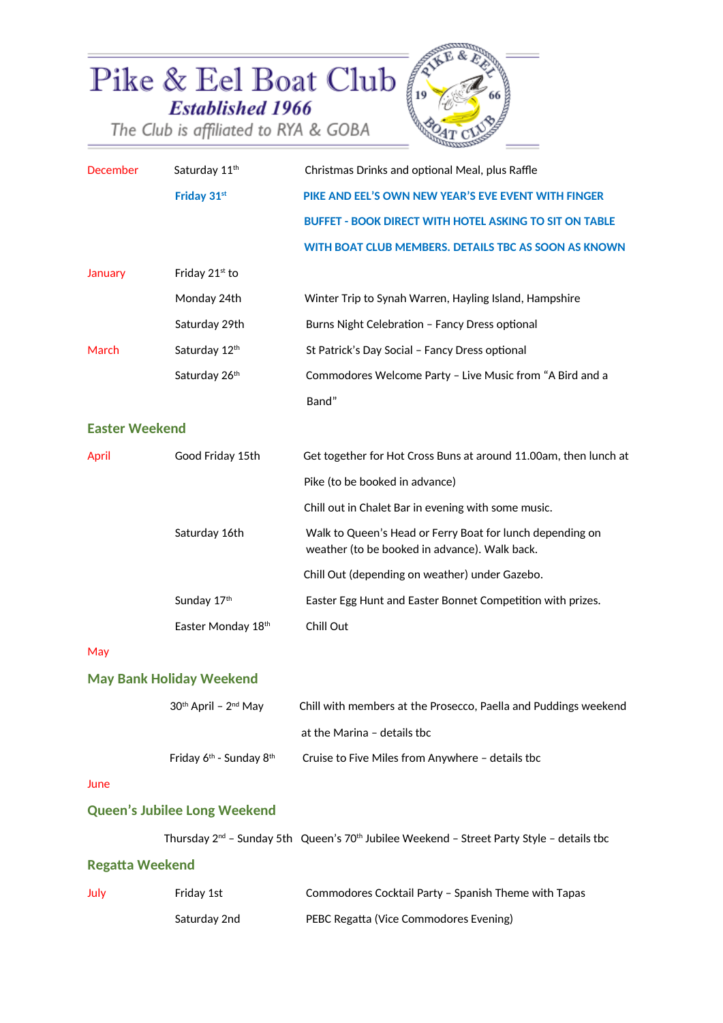

| <b>December</b>                 | Saturday 11 <sup>th</sup> | Christmas Drinks and optional Meal, plus Raffle                                                            |  |  |
|---------------------------------|---------------------------|------------------------------------------------------------------------------------------------------------|--|--|
|                                 | Friday 31st               | PIKE AND EEL'S OWN NEW YEAR'S EVE EVENT WITH FINGER                                                        |  |  |
|                                 |                           | <b>BUFFET - BOOK DIRECT WITH HOTEL ASKING TO SIT ON TABLE</b>                                              |  |  |
|                                 |                           | WITH BOAT CLUB MEMBERS. DETAILS TBC AS SOON AS KNOWN                                                       |  |  |
| January                         | Friday 21st to            |                                                                                                            |  |  |
|                                 | Monday 24th               | Winter Trip to Synah Warren, Hayling Island, Hampshire                                                     |  |  |
|                                 | Saturday 29th             | Burns Night Celebration - Fancy Dress optional                                                             |  |  |
| March                           | Saturday 12th             | St Patrick's Day Social - Fancy Dress optional                                                             |  |  |
|                                 | Saturday 26th             | Commodores Welcome Party - Live Music from "A Bird and a                                                   |  |  |
|                                 |                           | Band"                                                                                                      |  |  |
| <b>Easter Weekend</b>           |                           |                                                                                                            |  |  |
| April                           | Good Friday 15th          | Get together for Hot Cross Buns at around 11.00am, then lunch at                                           |  |  |
|                                 |                           | Pike (to be booked in advance)                                                                             |  |  |
|                                 |                           | Chill out in Chalet Bar in evening with some music.                                                        |  |  |
|                                 | Saturday 16th             | Walk to Queen's Head or Ferry Boat for lunch depending on<br>weather (to be booked in advance). Walk back. |  |  |
|                                 |                           | Chill Out (depending on weather) under Gazebo.                                                             |  |  |
|                                 | Sunday 17th               | Easter Egg Hunt and Easter Bonnet Competition with prizes.                                                 |  |  |
|                                 | Easter Monday 18th        | Chill Out                                                                                                  |  |  |
| May                             |                           |                                                                                                            |  |  |
| <b>May Bank Holiday Weekend</b> |                           |                                                                                                            |  |  |
|                                 | 30th April - 2nd May      | Chill with members at the Prosecco, Paella and Puddings weekend                                            |  |  |

| Friday $6th$ - Sunday $8th$ | Cruise to Five Miles from Anywhere - details tbc |
|-----------------------------|--------------------------------------------------|
|-----------------------------|--------------------------------------------------|

#### June

# **Queen's Jubilee Long Weekend**

Thursday  $2^{nd}$  - Sunday 5th Queen's 70<sup>th</sup> Jubilee Weekend - Street Party Style - details tbc

at the Marina – details tbc

### **Regatta Weekend**

| July | Fridav 1st   | Commodores Cocktail Party – Spanish Theme with Tapas |
|------|--------------|------------------------------------------------------|
|      | Saturday 2nd | PEBC Regatta (Vice Commodores Evening)               |